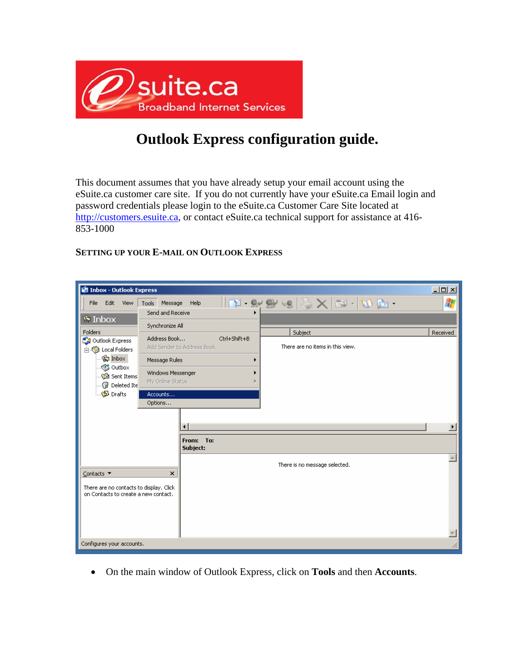

## **Outlook Express configuration guide.**

This document assumes that you have already setup your email account using the eSuite.ca customer care site. If you do not currently have your eSuite.ca Email login and password credentials please login to the eSuite.ca Customer Care Site located at http://customers.esuite.ca, or contact eSuite.ca technical support for assistance at 416- 853-1000

## **SETTING UP YOUR E-MAIL ON OUTLOOK EXPRESS**

| Inbox - Outlook Express                 |                   |                            |              |                                                                              |  | $\Box$ D $\times$     |
|-----------------------------------------|-------------------|----------------------------|--------------|------------------------------------------------------------------------------|--|-----------------------|
| Edit<br>File<br>View                    | Message<br>Tools  | Help                       |              | $ \mathbf{T}\cdot\mathbf{R} \geqslant\mathbf{X} \mathbf{E}\cdot \mathbf{R} $ |  | 4                     |
| $\bullet$ Inbox                         | Send and Receive  |                            |              |                                                                              |  |                       |
|                                         | Synchronize All   |                            |              |                                                                              |  |                       |
| Folders<br>La Outlook Express           | Address Book      |                            | Ctrl+Shift+B | Subject                                                                      |  | Received              |
| 白 (2) Local Folders                     |                   | Add Sender to Address Book |              | There are no items in this view.                                             |  |                       |
| ® Inbox                                 | Message Rules     |                            |              |                                                                              |  |                       |
| <s outbox<br="">ା© Sent Items</s>       | Windows Messenger |                            |              |                                                                              |  |                       |
| <b>Deleted Ite</b>                      | My Online Status  |                            |              |                                                                              |  |                       |
| <b>Drafts</b>                           | Accounts          |                            |              |                                                                              |  |                       |
|                                         | Options           |                            |              |                                                                              |  |                       |
|                                         |                   |                            |              |                                                                              |  |                       |
|                                         |                   | ◂                          |              |                                                                              |  | $\blacktriangleright$ |
|                                         |                   | To:<br>From:               |              |                                                                              |  |                       |
|                                         |                   | Subject:                   |              |                                                                              |  |                       |
|                                         |                   |                            |              | There is no message selected.                                                |  |                       |
| Contacts $\blacktriangledown$           | ×                 |                            |              |                                                                              |  |                       |
| There are no contacts to display. Click |                   |                            |              |                                                                              |  |                       |
| on Contacts to create a new contact.    |                   |                            |              |                                                                              |  |                       |
|                                         |                   |                            |              |                                                                              |  |                       |
|                                         |                   |                            |              |                                                                              |  |                       |
|                                         |                   |                            |              |                                                                              |  |                       |
| Configures your accounts.               |                   |                            |              |                                                                              |  |                       |

• On the main window of Outlook Express, click on **Tools** and then **Accounts**.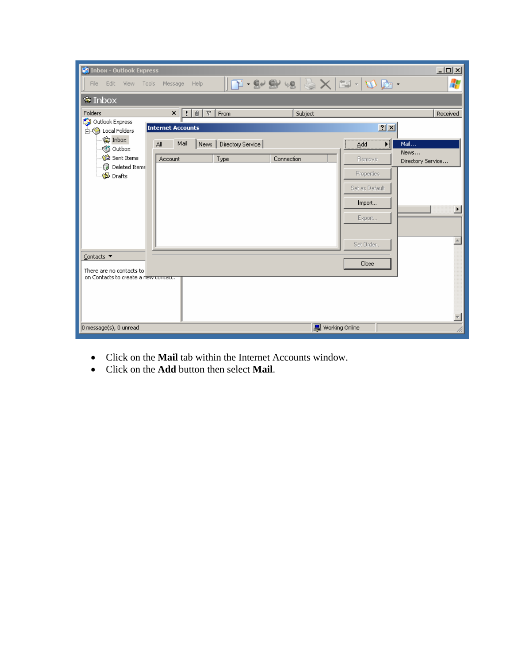| <b>C</b> Inbox - Outlook Express         |                                         |                   |                                                                |                   | $\underline{\Box}$       |
|------------------------------------------|-----------------------------------------|-------------------|----------------------------------------------------------------|-------------------|--------------------------|
| File Edit<br>- View<br>Tools             | Message<br>Help                         |                   | $ \mathbf{T}\cdot\mathbf{S}\cdot\mathbf{S} \geqslant 1$ . Then |                   | 4                        |
| <b>©</b> Inbox                           |                                         |                   |                                                                |                   |                          |
| Folders                                  | $\triangledown$<br> 0 <br>$\times$<br>Ħ | From              | Subject                                                        |                   | Received                 |
| Outlook Express                          | <b>Internet Accounts</b>                |                   |                                                                |                   | $2 \times$               |
| 白 Cocal Folders<br>® Inbox               |                                         |                   |                                                                |                   |                          |
| S Outbox                                 | Mail<br>All<br>News                     | Directory Service |                                                                | Add               | Main<br>News             |
| ା <b>ଳି</b> Sent Items                   | Account                                 | Type              | Connection                                                     | Remove            | Directory Service        |
| Deleted Items<br>ं <mark>∜</mark> Drafts |                                         |                   |                                                                | <b>Properties</b> |                          |
|                                          |                                         |                   |                                                                | Set as Default    |                          |
|                                          |                                         |                   |                                                                |                   |                          |
|                                          |                                         |                   |                                                                | Import            | $\overline{\phantom{0}}$ |
|                                          |                                         |                   |                                                                | Export            |                          |
|                                          |                                         |                   |                                                                |                   |                          |
|                                          |                                         |                   |                                                                | Set Order         | $\triangle$              |
| Contacts ▼                               |                                         |                   |                                                                |                   |                          |
| There are no contacts to                 |                                         |                   |                                                                | Close             |                          |
| on Contacts to create a new concacc.     |                                         |                   |                                                                |                   |                          |
|                                          |                                         |                   |                                                                |                   |                          |
|                                          |                                         |                   |                                                                |                   |                          |
|                                          |                                         |                   |                                                                |                   |                          |
| 0 message(s), 0 unread                   |                                         |                   |                                                                | 里 Working Online  |                          |

- Click on the **Mail** tab within the Internet Accounts window.
- Click on the **Add** button then select **Mail**.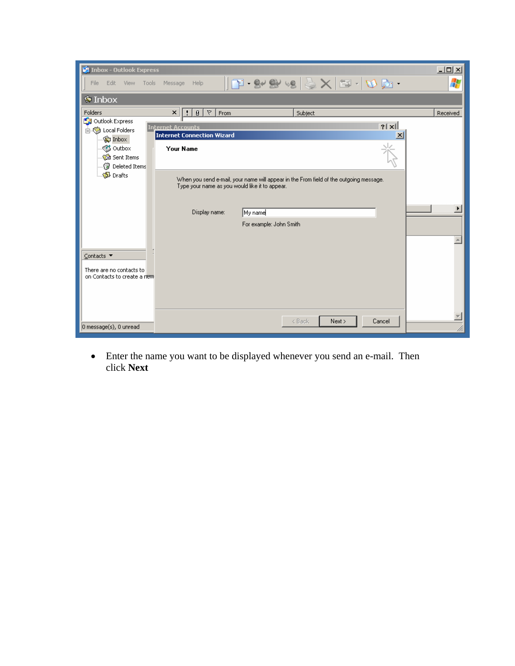| <b>State Inbox - Outlook Express</b>                     |                                                       |                                                                                                                                          | $\Box$                |
|----------------------------------------------------------|-------------------------------------------------------|------------------------------------------------------------------------------------------------------------------------------------------|-----------------------|
| Edit<br>View Tools<br>File                               | Message<br>Help                                       | $\mathbf{P}\cdot \mathbf{P} \otimes \mathbf{P} \otimes \mathbf{P} \otimes \mathbf{P} \otimes \mathbf{P} \otimes \mathbf{P}$              | Н                     |
| $\bullet$ Inbox                                          |                                                       |                                                                                                                                          |                       |
| Folders                                                  | $\triangledown$<br>$\pmb{\times}$<br> 0 <br>From<br>Ħ | Subject                                                                                                                                  | Received              |
| Outlook Express                                          | <b>Internet Accounts</b>                              | $?$   $\times$                                                                                                                           |                       |
| 白 (C) Local Folders<br><b>्द्रि</b> Inbox                | <b>Internet Connection Wizard</b>                     | $\vert x \vert$                                                                                                                          |                       |
| S Outbox<br>ାପି Sent Items<br><b>B</b> Deleted Items     | <b>Your Name</b>                                      |                                                                                                                                          |                       |
| ୍ <mark>ବ</mark> Drafts                                  |                                                       | When you send e-mail, your name will appear in the From field of the outgoing message.<br>Type your name as you would like it to appear. |                       |
|                                                          | Display name:                                         | My name<br>For example: John Smith                                                                                                       | $\blacktriangleright$ |
|                                                          |                                                       |                                                                                                                                          | $\blacktriangle$      |
| ⊆ontacts ▼                                               |                                                       |                                                                                                                                          |                       |
| There are no contacts to<br>on Contacts to create a riew |                                                       |                                                                                                                                          |                       |
|                                                          |                                                       |                                                                                                                                          |                       |
| $\vert$ 0 message $\vert$ s), 0 unread                   |                                                       | < Back<br>Next ><br>Cancel                                                                                                               |                       |

• Enter the name you want to be displayed whenever you send an e-mail. Then click **Next**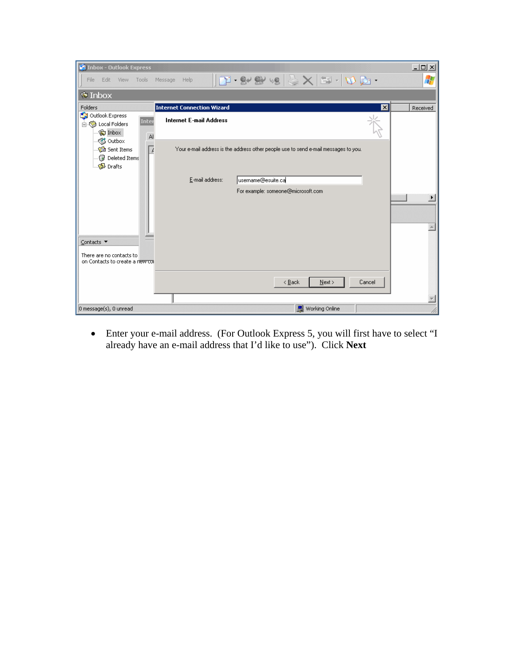| <b>CA</b> Inbox - Outlook Express                                                                    |                                   |                                                                                                                      | $-12 \times$ |
|------------------------------------------------------------------------------------------------------|-----------------------------------|----------------------------------------------------------------------------------------------------------------------|--------------|
| Edit<br>View<br>Tools<br>File                                                                        | Message<br>Help                   | $ \mathbf{T}\cdot\mathbf{S}\cdot\mathbf{S} \geqslant\mathsf{X} \mathbf{S}\cdot \mathbf{A}\mathbf{S}\cdot\mathbf{S} $ | Æ            |
| $\bullet$ Inbox                                                                                      |                                   |                                                                                                                      |              |
| Folders                                                                                              | <b>Internet Connection Wizard</b> | ⊠                                                                                                                    | Received     |
| Outlook Express<br>Inter<br>白 (http://blocal Folders<br><b>Codni</b> Con<br>$\mathsf{A}$<br>S Outbox | <b>Internet E-mail Address</b>    |                                                                                                                      |              |
| Sent Items<br>$\angle$<br><b>Deleted Items</b><br><b>Drafts</b>                                      |                                   | Your e-mail address is the address other people use to send e-mail messages to you.                                  |              |
|                                                                                                      | E-mail address:                   | username@esuite.ca                                                                                                   |              |
| Contacts ▼<br>There are no contacts to<br>on Contacts to create a new con                            |                                   | For example: someone@microsoft.com                                                                                   |              |
|                                                                                                      |                                   | Cancel<br>$\leq$ Back<br>Next                                                                                        |              |
|                                                                                                      |                                   |                                                                                                                      |              |
| 0 message(s), 0 unread                                                                               |                                   | 里 Working Online                                                                                                     |              |

• Enter your e-mail address. (For Outlook Express 5, you will first have to select "I already have an e-mail address that I'd like to use"). Click **Next**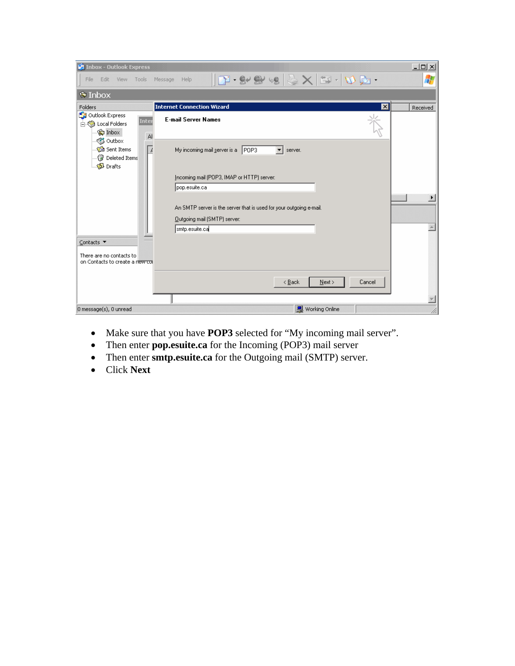| <b>Si Inbox - Outlook Express</b>                                                            |                                                                                                              | $-12X$   |
|----------------------------------------------------------------------------------------------|--------------------------------------------------------------------------------------------------------------|----------|
| Edit<br>File<br>View<br>Tools                                                                | $ \mathbf{T}\cdot \mathbf{S} \otimes \mathbf{S}  \leqslant \mathbf{X}$ and $\mathbf{D}$ .<br>Help<br>Message |          |
| $\bullet$ Inbox                                                                              |                                                                                                              |          |
| Folders                                                                                      | ⊠<br><b>Internet Connection Wizard</b>                                                                       | Received |
| Outlook Express<br>Inter<br>白 (2) Local Folders<br><b>Coding</b> Inbox<br>AI                 | <b>E-mail Server Names</b>                                                                                   |          |
| S Outbox<br><b>C</b> Sent Items<br>$\overline{\mu}$<br><b>Deleted Items</b><br><b>Drafts</b> | POP3<br>My incoming mail server is a<br>server.                                                              |          |
|                                                                                              | Incoming mail (POP3, IMAP or HTTP) server:<br>pop.esuite.ca                                                  |          |
|                                                                                              | An SMTP server is the server that is used for your outgoing e-mail.<br>Outgoing mail (SMTP) server:          | ▸        |
|                                                                                              | smtp.esuite.ca                                                                                               |          |
| Contacts ▼                                                                                   |                                                                                                              |          |
| There are no contacts to<br>on Contacts to create a riew cor                                 |                                                                                                              |          |
|                                                                                              | Next<br>Cancel<br>< Back                                                                                     |          |
|                                                                                              |                                                                                                              |          |
| 0 message(s), 0 unread                                                                       | 텔 Working Online                                                                                             |          |

- Make sure that you have **POP3** selected for "My incoming mail server".
- Then enter **pop.esuite.ca** for the Incoming (POP3) mail server
- Then enter **smtp.esuite.ca** for the Outgoing mail (SMTP) server.
- Click **Next**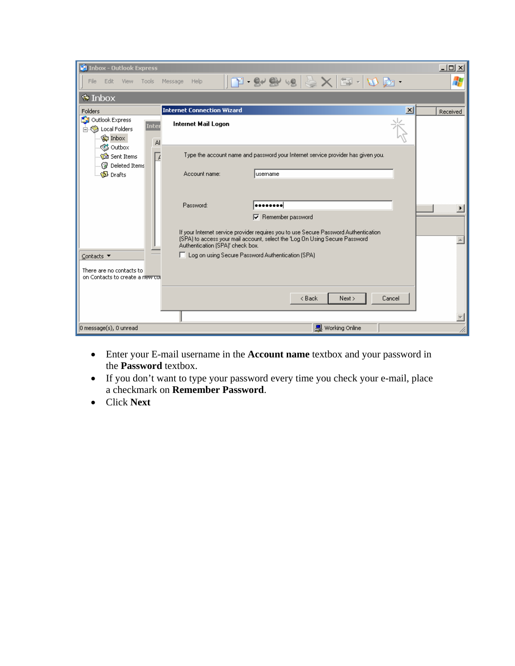| <b>S9 Inbox - Outlook Express</b>                            |                                                                                                                                                                     | $\Box$ ol $\times$ |
|--------------------------------------------------------------|---------------------------------------------------------------------------------------------------------------------------------------------------------------------|--------------------|
| Edit<br>- View<br>Tools<br>File                              | $\mathbf{F}\cdot \mathbf{S} \otimes \mathbf{S} \otimes \mathbf{S} \times \mathbf{S} \cdot \mathbf{S} \cdot \mathbf{S}$<br>Message<br>Help                           | 4                  |
| $\bullet$ Inbox                                              |                                                                                                                                                                     |                    |
| Folders                                                      | <b>Internet Connection Wizard</b><br>$\vert x \vert$                                                                                                                | Received           |
| Outlook Express<br>Inter<br>白 (2) Local Folders<br>©⊒ Inbox  | Internet Mail Logon                                                                                                                                                 |                    |
| AI<br><≸ Outbox                                              |                                                                                                                                                                     |                    |
| Sent Items<br>k,<br><b>B</b> Deleted Items                   | Type the account name and password your Internet service provider has given you.                                                                                    |                    |
| <b>S</b> Drafts                                              | Account name:<br>lusername                                                                                                                                          |                    |
|                                                              | Password:<br>                                                                                                                                                       |                    |
|                                                              |                                                                                                                                                                     |                    |
|                                                              | $\nabla$ Remember password                                                                                                                                          |                    |
|                                                              | If your Internet service provider requires you to use Secure Password Authentication<br>(SPA) to access your mail account, select the 'Log On Using Secure Password |                    |
|                                                              | Authentication (SPA)' check box.<br>□ Log on using Secure Password Authentication (SPA)                                                                             |                    |
| Contacts ▼                                                   |                                                                                                                                                                     |                    |
| There are no contacts to<br>on Contacts to create a riew cor |                                                                                                                                                                     |                    |
|                                                              | Next ><br>< Back<br>Cancel                                                                                                                                          |                    |
|                                                              |                                                                                                                                                                     |                    |
|                                                              |                                                                                                                                                                     |                    |
| $0$ message $(s)$ , 0 unread                                 | 图 Working Online                                                                                                                                                    |                    |

- Enter your E-mail username in the **Account name** textbox and your password in the **Password** textbox.
- If you don't want to type your password every time you check your e-mail, place a checkmark on **Remember Password**.
- Click **Next**